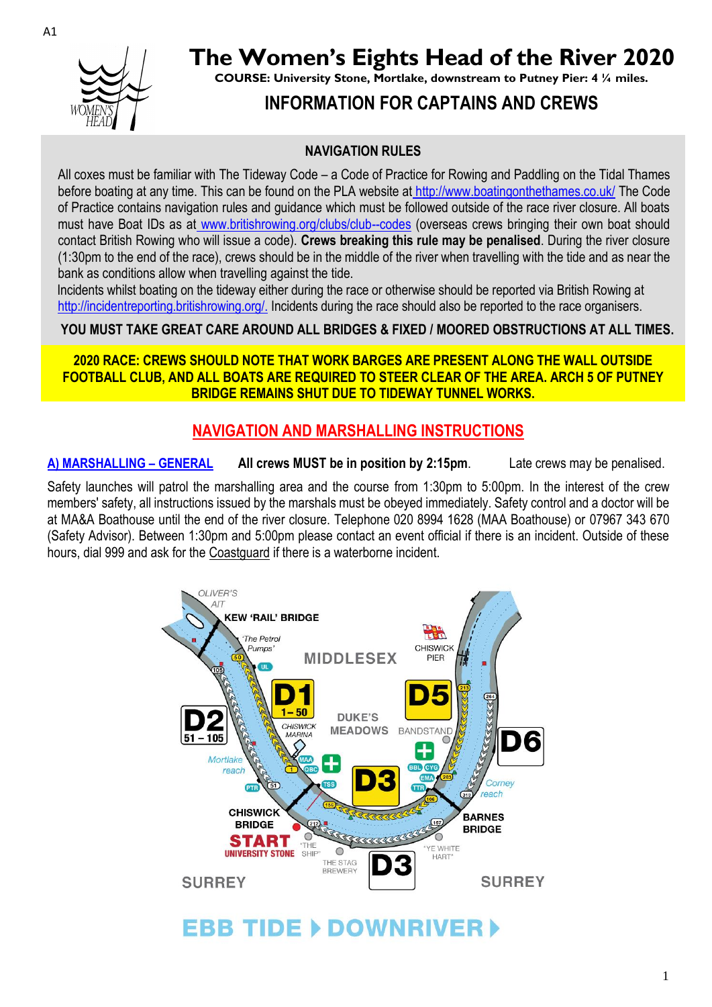**The Women's Eights Head of the River 2020**



**COURSE: University Stone, Mortlake, downstream to Putney Pier: 4 ¼ miles.**

# **INFORMATION FOR CAPTAINS AND CREWS**

#### **NAVIGATION RULES**

All coxes must be familiar with The Tideway Code – a Code of Practice for Rowing and Paddling on the Tidal Thames before boating at any time. This can be found on the PLA website at http://www.boatingonthethames.co.uk/ The Code of Practice contains navigation rules and guidance which must be followed outside of the race river closure. All boats must have Boat IDs as at [www.britishrowing.org/clubs/club--](http://www.britishrowing.org/clubs/club-)codes (overseas crews bringing their own boat should contact British Rowing who will issue a code). **Crews breaking this rule may be penalised**. During the river closure (1:30pm to the end of the race), crews should be in the middle of the river when travelling with the tide and as near the bank as conditions allow when travelling against the tide.

Incidents whilst boating on the tideway either during the race or otherwise should be reported via British Rowing at http://incidentreporting.britishrowing.org/. Incidents during the race should also be reported to the race organisers.

#### **YOU MUST TAKE GREAT CARE AROUND ALL BRIDGES & FIXED / MOORED OBSTRUCTIONS AT ALL TIMES.**

#### **2020 RACE: CREWS SHOULD NOTE THAT WORK BARGES ARE PRESENT ALONG THE WALL OUTSIDE FOOTBALL CLUB, AND ALL BOATS ARE REQUIRED TO STEER CLEAR OF THE AREA. ARCH 5 OF PUTNEY BRIDGE REMAINS SHUT DUE TO TIDEWAY TUNNEL WORKS.**

## **NAVIGATION AND MARSHALLING INSTRUCTIONS**

**A) MARSHALLING – GENERAL All crews MUST be in position by 2:15pm**. Late crews may be penalised.

Safety launches will patrol the marshalling area and the course from 1:30pm to 5:00pm. In the interest of the crew members' safety, all instructions issued by the marshals must be obeyed immediately. Safety control and a doctor will be at MA&A Boathouse until the end of the river closure. Telephone 020 8994 1628 (MAA Boathouse) or 07967 343 670 (Safety Advisor). Between 1:30pm and 5:00pm please contact an event official if there is an incident. Outside of these hours, dial 999 and ask for the Coastguard if there is a waterborne incident.



# **EBB TIDE > DOWNRIVER >**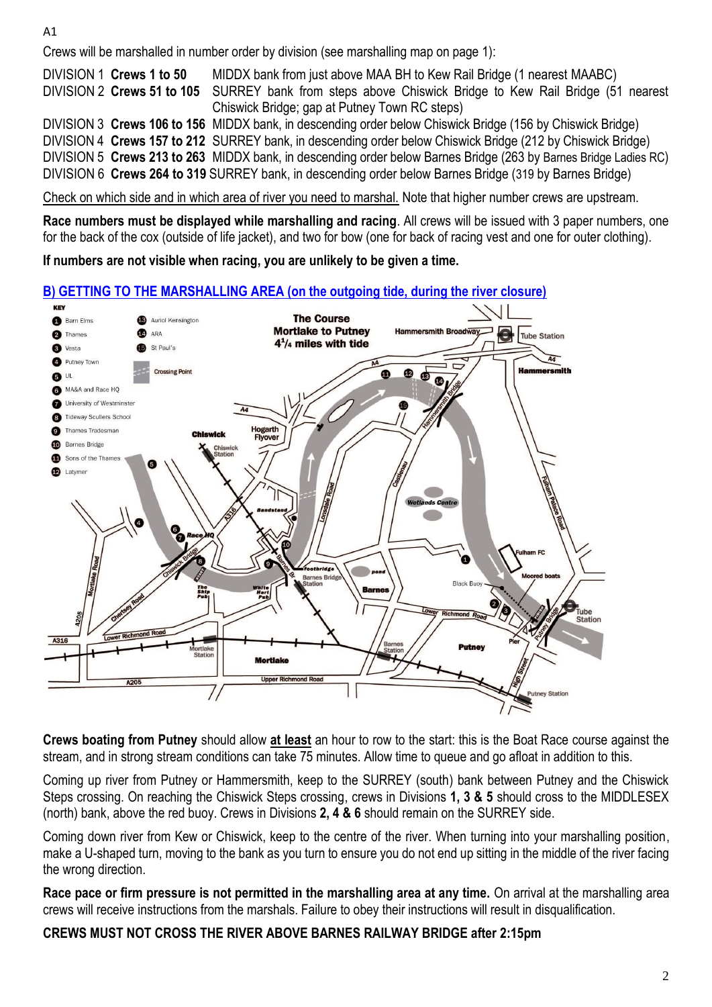Crews will be marshalled in number order by division (see marshalling map on page 1):

DIVISION 1 **Crews 1 to 50** MIDDX bank from just above MAA BH to Kew Rail Bridge (1 nearest MAABC) DIVISION 2 **Crews 51 to 105** SURREY bank from steps above Chiswick Bridge to Kew Rail Bridge (51 nearest Chiswick Bridge; gap at Putney Town RC steps) DIVISION 3 **Crews 106 to 156** MIDDX bank, in descending order below Chiswick Bridge (156 by Chiswick Bridge) DIVISION 4 **Crews 157 to 212** SURREY bank, in descending order below Chiswick Bridge (212 by Chiswick Bridge) DIVISION 5 **Crews 213 to 263** MIDDX bank, in descending order below Barnes Bridge (263 by Barnes Bridge Ladies RC) DIVISION 6 **Crews 264 to 319** SURREY bank, in descending order below Barnes Bridge (319 by Barnes Bridge)

Check on which side and in which area of river you need to marshal. Note that higher number crews are upstream.

**Race numbers must be displayed while marshalling and racing**. All crews will be issued with 3 paper numbers, one for the back of the cox (outside of life jacket), and two for bow (one for back of racing vest and one for outer clothing).

**If numbers are not visible when racing, you are unlikely to be given a time.**

#### **B) GETTING TO THE MARSHALLING AREA (on the outgoing tide, during the river closure)**



**Crews boating from Putney** should allow **at least** an hour to row to the start: this is the Boat Race course against the stream, and in strong stream conditions can take 75 minutes. Allow time to queue and go afloat in addition to this.

Coming up river from Putney or Hammersmith, keep to the SURREY (south) bank between Putney and the Chiswick Steps crossing. On reaching the Chiswick Steps crossing, crews in Divisions **1, 3 & 5** should cross to the MIDDLESEX (north) bank, above the red buoy. Crews in Divisions **2, 4 & 6** should remain on the SURREY side.

Coming down river from Kew or Chiswick, keep to the centre of the river. When turning into your marshalling position, make a U-shaped turn, moving to the bank as you turn to ensure you do not end up sitting in the middle of the river facing the wrong direction.

**Race pace or firm pressure is not permitted in the marshalling area at any time.** On arrival at the marshalling area crews will receive instructions from the marshals. Failure to obey their instructions will result in disqualification.

#### **CREWS MUST NOT CROSS THE RIVER ABOVE BARNES RAILWAY BRIDGE after 2:15pm**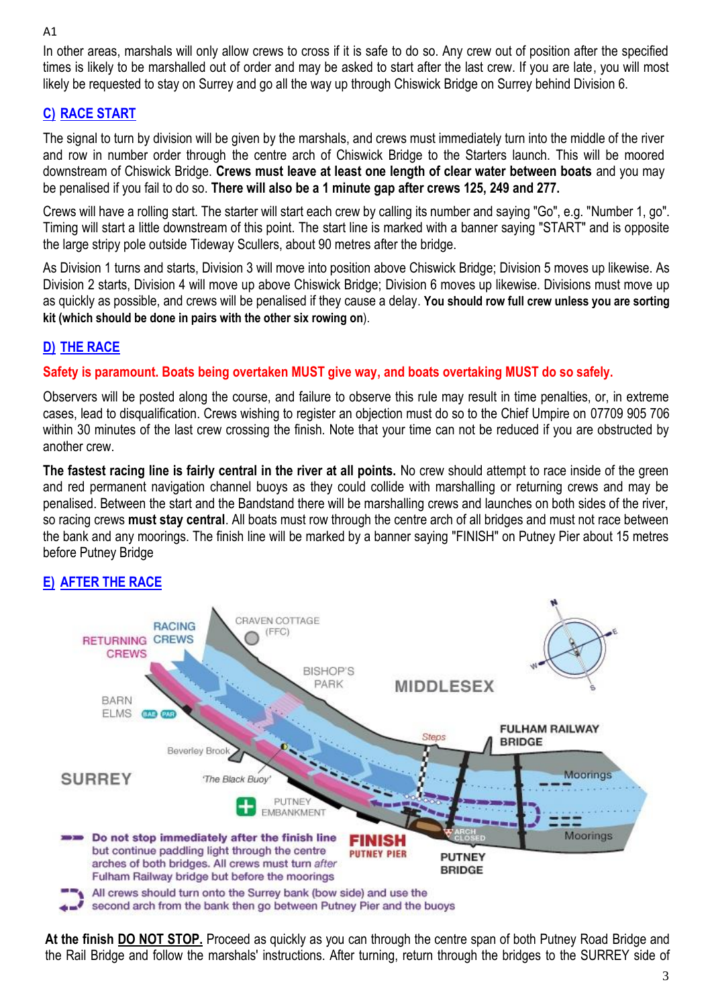A1

In other areas, marshals will only allow crews to cross if it is safe to do so. Any crew out of position after the specified times is likely to be marshalled out of order and may be asked to start after the last crew. If you are late, you will most likely be requested to stay on Surrey and go all the way up through Chiswick Bridge on Surrey behind Division 6.

# **C) RACE START**

The signal to turn by division will be given by the marshals, and crews must immediately turn into the middle of the river and row in number order through the centre arch of Chiswick Bridge to the Starters launch. This will be moored downstream of Chiswick Bridge. **Crews must leave at least one length of clear water between boats** and you may be penalised if you fail to do so. **There will also be a 1 minute gap after crews 125, 249 and 277.**

Crews will have a rolling start. The starter will start each crew by calling its number and saying "Go", e.g. "Number 1, go". Timing will start a little downstream of this point. The start line is marked with a banner saying "START" and is opposite the large stripy pole outside Tideway Scullers, about 90 metres after the bridge.

As Division 1 turns and starts, Division 3 will move into position above Chiswick Bridge; Division 5 moves up likewise. As Division 2 starts, Division 4 will move up above Chiswick Bridge; Division 6 moves up likewise. Divisions must move up as quickly as possible, and crews will be penalised if they cause a delay. **You should row full crew unless you are sorting kit (which should be done in pairs with the other six rowing on**).

# **D) THE RACE**

### **Safety is paramount. Boats being overtaken MUST give way, and boats overtaking MUST do so safely.**

Observers will be posted along the course, and failure to observe this rule may result in time penalties, or, in extreme cases, lead to disqualification. Crews wishing to register an objection must do so to the Chief Umpire on 07709 905 706 within 30 minutes of the last crew crossing the finish. Note that your time can not be reduced if you are obstructed by another crew.

**The fastest racing line is fairly central in the river at all points.** No crew should attempt to race inside of the green and red permanent navigation channel buoys as they could collide with marshalling or returning crews and may be penalised. Between the start and the Bandstand there will be marshalling crews and launches on both sides of the river, so racing crews **must stay central**. All boats must row through the centre arch of all bridges and must not race between the bank and any moorings. The finish line will be marked by a banner saying "FINISH" on Putney Pier about 15 metres before Putney Bridge



# **E) AFTER THE RACE**

**At the finish DO NOT STOP.** Proceed as quickly as you can through the centre span of both Putney Road Bridge and the Rail Bridge and follow the marshals' instructions. After turning, return through the bridges to the SURREY side of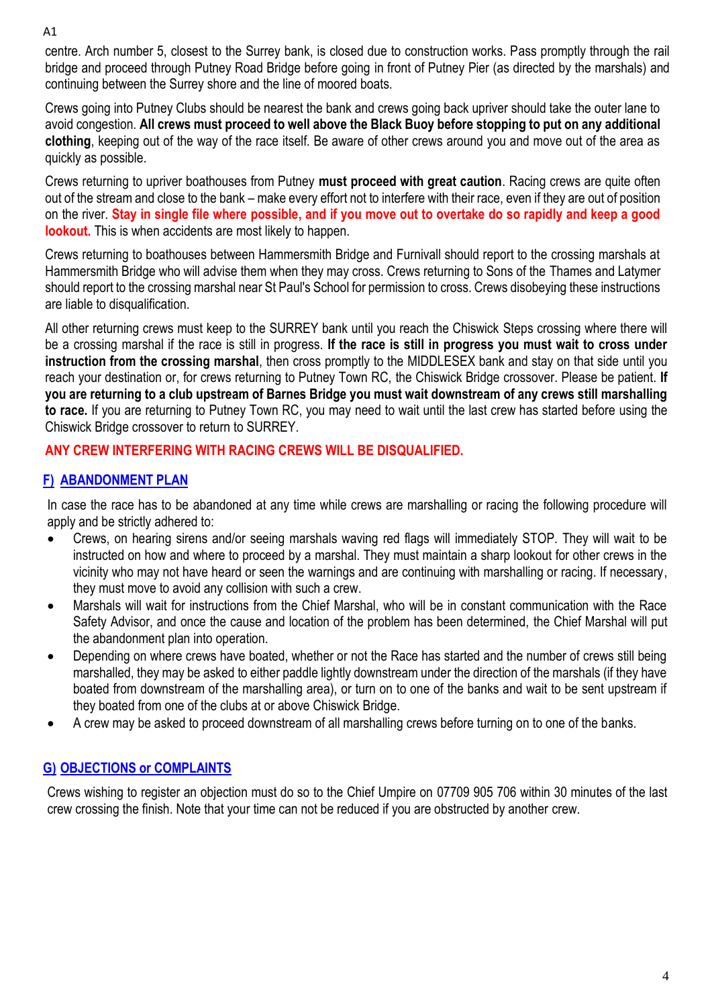A1

centre. Arch number 5, closest to the Surrey bank, is closed due to construction works. Pass promptly through the rail bridge and proceed through Putney Road Bridge before going in front of Putney Pier (as directed by the marshals) and continuing between the Surrey shore and the line of moored boats.

Crews going into Putney Clubs should be nearest the bank and crews going back upriver should take the outer lane to avoid congestion. **All crews must proceed to well above the Black Buoy before stopping to put on any additional clothing**, keeping out of the way of the race itself. Be aware of other crews around you and move out of the area as quickly as possible.

Crews returning to upriver boathouses from Putney **must proceed with great caution**. Racing crews are quite often out of the stream and close to the bank – make every effort not to interfere with their race, even if they are out of position on the river. **Stay in single file where possible, and if you move out to overtake do so rapidly and keep a good lookout.** This is when accidents are most likely to happen.

Crews returning to boathouses between Hammersmith Bridge and Furnivall should report to the crossing marshals at Hammersmith Bridge who will advise them when they may cross. Crews returning to Sons of the Thames and Latymer should report to the crossing marshal near St Paul's School for permission to cross. Crews disobeying these instructions are liable to disqualification.

All other returning crews must keep to the SURREY bank until you reach the Chiswick Steps crossing where there will be a crossing marshal if the race is still in progress. **If the race is still in progress you must wait to cross under instruction from the crossing marshal**, then cross promptly to the MIDDLESEX bank and stay on that side until you reach your destination or, for crews returning to Putney Town RC, the Chiswick Bridge crossover. Please be patient. **If you are returning to a club upstream of Barnes Bridge you must wait downstream of any crews still marshalling to race.** If you are returning to Putney Town RC, you may need to wait until the last crew has started before using the Chiswick Bridge crossover to return to SURREY.

## **ANY CREW INTERFERING WITH RACING CREWS WILL BE DISQUALIFIED.**

## **F) ABANDONMENT PLAN**

In case the race has to be abandoned at any time while crews are marshalling or racing the following procedure will apply and be strictly adhered to:

- Crews, on hearing sirens and/or seeing marshals waving red flags will immediately STOP. They will wait to be instructed on how and where to proceed by a marshal. They must maintain a sharp lookout for other crews in the vicinity who may not have heard or seen the warnings and are continuing with marshalling or racing. If necessary, they must move to avoid any collision with such a crew.
- Marshals will wait for instructions from the Chief Marshal, who will be in constant communication with the Race Safety Advisor, and once the cause and location of the problem has been determined, the Chief Marshal will put the abandonment plan into operation.
- Depending on where crews have boated, whether or not the Race has started and the number of crews still being marshalled, they may be asked to either paddle lightly downstream under the direction of the marshals (if they have boated from downstream of the marshalling area), or turn on to one of the banks and wait to be sent upstream if they boated from one of the clubs at or above Chiswick Bridge.
- A crew may be asked to proceed downstream of all marshalling crews before turning on to one of the banks.

### **G) OBJECTIONS or COMPLAINTS**

Crews wishing to register an objection must do so to the Chief Umpire on 07709 905 706 within 30 minutes of the last crew crossing the finish. Note that your time can not be reduced if you are obstructed by another crew.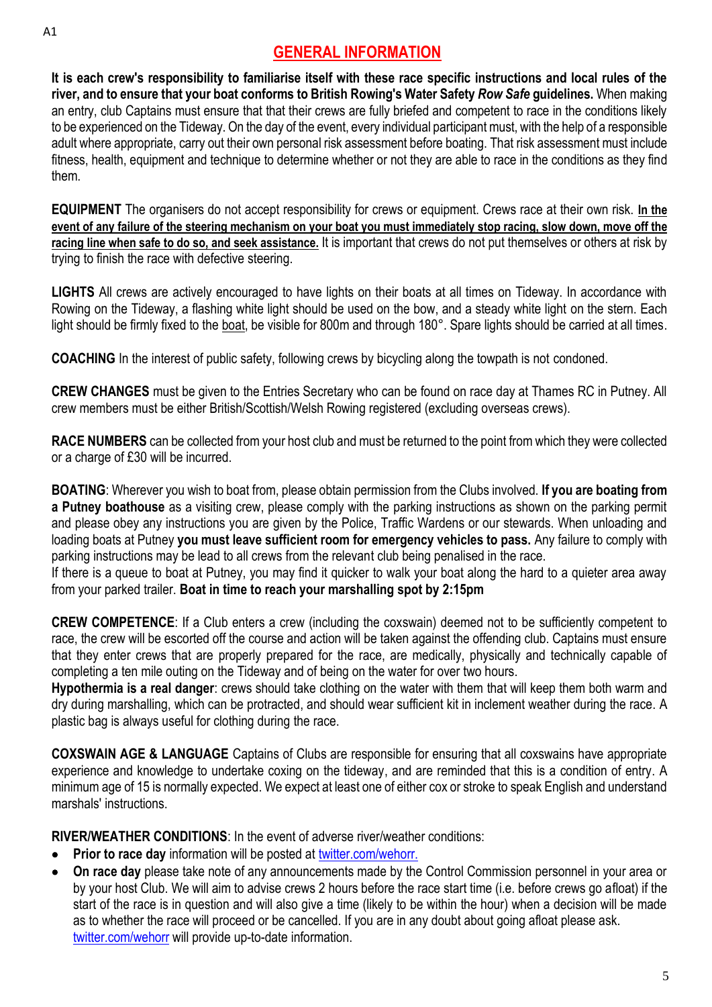# **GENERAL INFORMATION**

**It is each crew's responsibility to familiarise itself with these race specific instructions and local rules of the river, and to ensure that your boat conforms to British Rowing's Water Safety** *Row Safe* **guidelines.** When making an entry, club Captains must ensure that that their crews are fully briefed and competent to race in the conditions likely to be experienced on the Tideway. On the day of the event, every individual participant must, with the help of a responsible adult where appropriate, carry out their own personal risk assessment before boating. That risk assessment must include fitness, health, equipment and technique to determine whether or not they are able to race in the conditions as they find them.

**EQUIPMENT** The organisers do not accept responsibility for crews or equipment. Crews race at their own risk. **In the event of any failure of the steering mechanism on your boat you must immediately stop racing, slow down, move off the racing line when safe to do so, and seek assistance.** It is important that crews do not put themselves or others at risk by trying to finish the race with defective steering.

**LIGHTS** All crews are actively encouraged to have lights on their boats at all times on Tideway. In accordance with Rowing on the Tideway, a flashing white light should be used on the bow, and a steady white light on the stern. Each light should be firmly fixed to the boat, be visible for 800m and through 180°. Spare lights should be carried at all times.

**COACHING** In the interest of public safety, following crews by bicycling along the towpath is not condoned.

**CREW CHANGES** must be given to the Entries Secretary who can be found on race day at Thames RC in Putney. All crew members must be either British/Scottish/Welsh Rowing registered (excluding overseas crews).

**RACE NUMBERS** can be collected from your host club and must be returned to the point from which they were collected or a charge of £30 will be incurred.

**BOATING**: Wherever you wish to boat from, please obtain permission from the Clubs involved. **If you are boating from a Putney boathouse** as a visiting crew, please comply with the parking instructions as shown on the parking permit and please obey any instructions you are given by the Police, Traffic Wardens or our stewards. When unloading and loading boats at Putney **you must leave sufficient room for emergency vehicles to pass.** Any failure to comply with parking instructions may be lead to all crews from the relevant club being penalised in the race.

If there is a queue to boat at Putney, you may find it quicker to walk your boat along the hard to a quieter area away from your parked trailer. **Boat in time to reach your marshalling spot by 2:15pm**

**CREW COMPETENCE**: If a Club enters a crew (including the coxswain) deemed not to be sufficiently competent to race, the crew will be escorted off the course and action will be taken against the offending club. Captains must ensure that they enter crews that are properly prepared for the race, are medically, physically and technically capable of completing a ten mile outing on the Tideway and of being on the water for over two hours.

**Hypothermia is a real danger**: crews should take clothing on the water with them that will keep them both warm and dry during marshalling, which can be protracted, and should wear sufficient kit in inclement weather during the race. A plastic bag is always useful for clothing during the race.

**COXSWAIN AGE & LANGUAGE** Captains of Clubs are responsible for ensuring that all coxswains have appropriate experience and knowledge to undertake coxing on the tideway, and are reminded that this is a condition of entry. A minimum age of 15 is normally expected. We expect at least one of either cox or stroke to speak English and understand marshals' instructions.

**RIVER/WEATHER CONDITIONS**: In the event of adverse river/weather conditions:

- **Prior to race day** information will be posted at [twitter.com/wehorr.](http://twitter.com/wehorr.)
- **On race day** please take note of any announcements made by the Control Commission personnel in your area or by your host Club. We will aim to advise crews 2 hours before the race start time (i.e. before crews go afloat) if the start of the race is in question and will also give a time (likely to be within the hour) when a decision will be made as to whether the race will proceed or be cancelled. If you are in any doubt about going afloat please ask. [twitter.com/wehorr](http://twitter.com/wehorr) will provide up-to-date information.